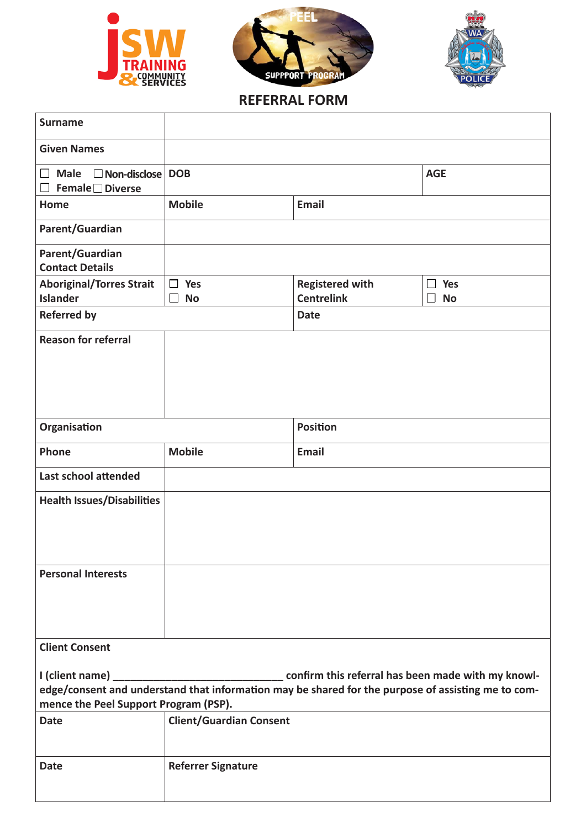





## **REFERRAL FORM**

| <b>Surname</b>                                                              |                                   |                                             |                                               |  |
|-----------------------------------------------------------------------------|-----------------------------------|---------------------------------------------|-----------------------------------------------|--|
| <b>Given Names</b>                                                          |                                   |                                             |                                               |  |
| $\Box$ Male $\Box$ Non-disclose   DOB<br><b>Female</b> □ Diverse<br>$\perp$ |                                   |                                             | <b>AGE</b>                                    |  |
| Home                                                                        | <b>Mobile</b>                     | <b>Email</b>                                |                                               |  |
| Parent/Guardian                                                             |                                   |                                             |                                               |  |
| Parent/Guardian<br><b>Contact Details</b>                                   |                                   |                                             |                                               |  |
| <b>Aboriginal/Torres Strait</b><br><b>Islander</b>                          | $\Box$ Yes<br>$\Box$<br><b>No</b> | <b>Registered with</b><br><b>Centrelink</b> | Yes<br>$\perp$<br><b>No</b><br>$\blacksquare$ |  |
| <b>Referred by</b>                                                          |                                   | <b>Date</b>                                 |                                               |  |
| <b>Reason for referral</b>                                                  |                                   |                                             |                                               |  |
| Organisation                                                                |                                   | <b>Position</b>                             |                                               |  |
| Phone                                                                       | <b>Mobile</b>                     | <b>Email</b>                                |                                               |  |
| Last school attended                                                        |                                   |                                             |                                               |  |
| <b>Health Issues/Disabilities</b>                                           |                                   |                                             |                                               |  |
| <b>Personal Interests</b>                                                   |                                   |                                             |                                               |  |
| <b>Client Consent</b>                                                       |                                   |                                             |                                               |  |
| mence the Peel Support Program (PSP).                                       |                                   |                                             |                                               |  |
| <b>Date</b>                                                                 | <b>Client/Guardian Consent</b>    |                                             |                                               |  |
| <b>Date</b>                                                                 | <b>Referrer Signature</b>         |                                             |                                               |  |